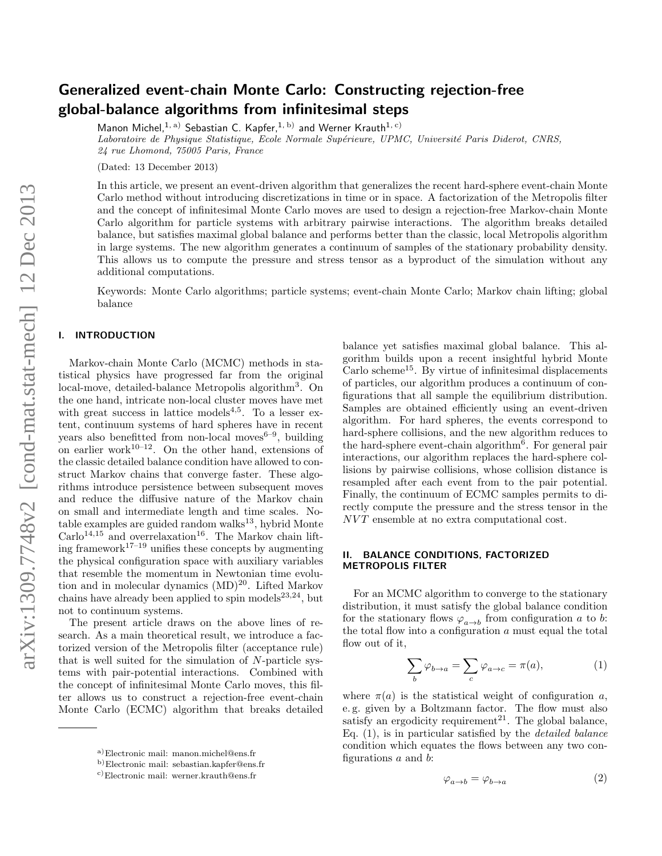# Generalized event-chain Monte Carlo: Constructing rejection-free global-balance algorithms from infinitesimal steps

Manon Michel,  $1, a)$  Sebastian C. Kapfer,  $1, b)$  and Werner Krauth  $1, c)$ 

Laboratoire de Physique Statistique, Ecole Normale Supérieure, UPMC, Université Paris Diderot, CNRS, 24 rue Lhomond, 75005 Paris, France

(Dated: 13 December 2013)

In this article, we present an event-driven algorithm that generalizes the recent hard-sphere event-chain Monte Carlo method without introducing discretizations in time or in space. A factorization of the Metropolis filter and the concept of infinitesimal Monte Carlo moves are used to design a rejection-free Markov-chain Monte Carlo algorithm for particle systems with arbitrary pairwise interactions. The algorithm breaks detailed balance, but satisfies maximal global balance and performs better than the classic, local Metropolis algorithm in large systems. The new algorithm generates a continuum of samples of the stationary probability density. This allows us to compute the pressure and stress tensor as a byproduct of the simulation without any additional computations.

Keywords: Monte Carlo algorithms; particle systems; event-chain Monte Carlo; Markov chain lifting; global balance

#### I. INTRODUCTION

Markov-chain Monte Carlo (MCMC) methods in statistical physics have progressed far from the original local-move, detailed-balance Metropolis algorithm<sup>3</sup>. On the one hand, intricate non-local cluster moves have met with great success in lattice models<sup>4,5</sup>. To a lesser extent, continuum systems of hard spheres have in recent years also benefitted from non-local moves<sup> $6-9$ </sup>, building on earlier work $10^{-12}$ . On the other hand, extensions of the classic detailed balance condition have allowed to construct Markov chains that converge faster. These algorithms introduce persistence between subsequent moves and reduce the diffusive nature of the Markov chain on small and intermediate length and time scales. No $table examples are guided random walks<sup>13</sup>, hybrid Monte$  $\text{Carlo}^{14,15}$  and overrelaxation<sup>16</sup>. The Markov chain lifting framework<sup>17–19</sup> unifies these concepts by augmenting the physical configuration space with auxiliary variables that resemble the momentum in Newtonian time evolution and in molecular dynamics  $(MD)^{20}$ . Lifted Markov chains have already been applied to spin models $^{23,24}$ , but not to continuum systems.

The present article draws on the above lines of research. As a main theoretical result, we introduce a factorized version of the Metropolis filter (acceptance rule) that is well suited for the simulation of N-particle systems with pair-potential interactions. Combined with the concept of infinitesimal Monte Carlo moves, this filter allows us to construct a rejection-free event-chain Monte Carlo (ECMC) algorithm that breaks detailed

balance yet satisfies maximal global balance. This algorithm builds upon a recent insightful hybrid Monte  $\mathrm{Carlo\; scheme^{15}}$ . By virtue of infinitesimal displacements of particles, our algorithm produces a continuum of configurations that all sample the equilibrium distribution. Samples are obtained efficiently using an event-driven algorithm. For hard spheres, the events correspond to hard-sphere collisions, and the new algorithm reduces to the hard-sphere event-chain algorithm<sup>6</sup>. For general pair interactions, our algorithm replaces the hard-sphere collisions by pairwise collisions, whose collision distance is resampled after each event from to the pair potential. Finally, the continuum of ECMC samples permits to directly compute the pressure and the stress tensor in the NVT ensemble at no extra computational cost.

## II. BALANCE CONDITIONS, FACTORIZED METROPOLIS FILTER

For an MCMC algorithm to converge to the stationary distribution, it must satisfy the global balance condition for the stationary flows  $\varphi_{a\to b}$  from configuration a to b: the total flow into a configuration  $a$  must equal the total flow out of it,

$$
\sum_{b} \varphi_{b \to a} = \sum_{c} \varphi_{a \to c} = \pi(a), \tag{1}
$$

where  $\pi(a)$  is the statistical weight of configuration a, e. g. given by a Boltzmann factor. The flow must also satisfy an ergodicity requirement<sup>21</sup>. The global balance, Eq. (1), is in particular satisfied by the detailed balance condition which equates the flows between any two configurations a and b:

$$
\varphi_{a \to b} = \varphi_{b \to a} \tag{2}
$$

a)Electronic mail: manon.michel@ens.fr

b)Electronic mail: sebastian.kapfer@ens.fr

c)Electronic mail: werner.krauth@ens.fr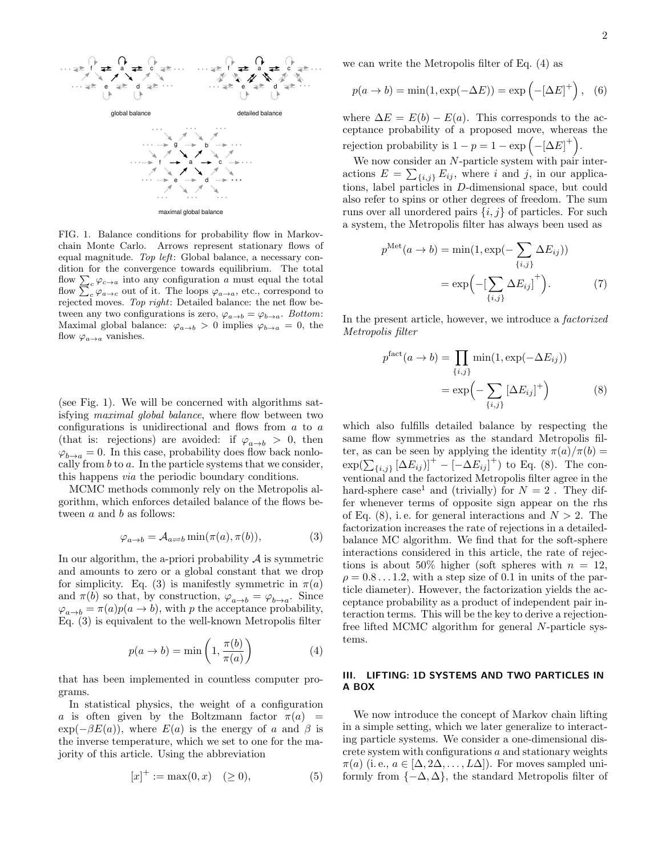

FIG. 1. Balance conditions for probability flow in Markovchain Monte Carlo. Arrows represent stationary flows of equal magnitude. Top left: Global balance, a necessary condition for the convergence towards equilibrium. The total flow  $\sum_{c} \varphi_{c \to a}$  into any configuration a must equal the total flow  $\sum_{c} \varphi_{a \to c}$  out of it. The loops  $\varphi_{a \to a}$ , etc., correspond to rejected moves. Top right: Detailed balance: the net flow between any two configurations is zero,  $\varphi_{a\to b} = \varphi_{b\to a}$ . Bottom: Maximal global balance:  $\varphi_{a\to b} > 0$  implies  $\varphi_{b\to a} = 0$ , the flow  $\varphi_{a\to a}$  vanishes.

(see Fig. 1). We will be concerned with algorithms satisfying maximal global balance, where flow between two configurations is unidirectional and flows from a to a (that is: rejections) are avoided: if  $\varphi_{a\rightarrow b} > 0$ , then  $\varphi_{b\to a} = 0$ . In this case, probability does flow back nonlocally from  $b$  to  $a$ . In the particle systems that we consider, this happens via the periodic boundary conditions.

MCMC methods commonly rely on the Metropolis algorithm, which enforces detailed balance of the flows between  $a$  and  $b$  as follows:

$$
\varphi_{a \to b} = \mathcal{A}_{a \rightleftharpoons b} \min(\pi(a), \pi(b)), \tag{3}
$$

In our algorithm, the a-priori probability  $A$  is symmetric and amounts to zero or a global constant that we drop for simplicity. Eq. (3) is manifestly symmetric in  $\pi(a)$ and  $\pi(b)$  so that, by construction,  $\varphi_{a\to b} = \varphi_{b\to a}$ . Since  $\varphi_{a\rightarrow b} = \pi(a)p(a\rightarrow b)$ , with p the acceptance probability, Eq. (3) is equivalent to the well-known Metropolis filter

$$
p(a \to b) = \min\left(1, \frac{\pi(b)}{\pi(a)}\right) \tag{4}
$$

that has been implemented in countless computer programs.

In statistical physics, the weight of a configuration a is often given by the Boltzmann factor  $\pi(a)$  =  $\exp(-\beta E(a))$ , where  $E(a)$  is the energy of a and  $\beta$  is the inverse temperature, which we set to one for the majority of this article. Using the abbreviation

$$
[x]^{+} := \max(0, x) \quad (\ge 0), \tag{5}
$$

we can write the Metropolis filter of Eq. (4) as

$$
p(a \to b) = \min(1, \exp(-\Delta E)) = \exp\left(-[\Delta E]^+\right), \quad (6)
$$

where  $\Delta E = E(b) - E(a)$ . This corresponds to the acceptance probability of a proposed move, whereas the rejection probability is  $1 - p = 1 - \exp(-[\Delta E]^+).$ 

We now consider an  $N\text{-} \text{particle}$  system with pair interactions  $E = \sum_{\{i,j\}} E_{ij}$ , where i and j, in our applications, label particles in  $D$ -dimensional space, but could also refer to spins or other degrees of freedom. The sum runs over all unordered pairs  $\{i, j\}$  of particles. For such a system, the Metropolis filter has always been used as

$$
p^{\text{Met}}(a \to b) = \min(1, \exp(-\sum_{\{i,j\}} \Delta E_{ij}))
$$

$$
= \exp(-\left[\sum_{\{i,j\}} \Delta E_{ij}\right]^+).
$$
 (7)

In the present article, however, we introduce a factorized Metropolis filter

$$
p^{\text{fact}}(a \to b) = \prod_{\{i,j\}} \min(1, \exp(-\Delta E_{ij}))
$$

$$
= \exp\left(-\sum_{\{i,j\}} [\Delta E_{ij}]^{+}\right) \tag{8}
$$

which also fulfills detailed balance by respecting the same flow symmetries as the standard Metropolis filter, as can be seen by applying the identity  $\pi(a)/\pi(b) =$  $\exp(\sum_{\{i,j\}} [\Delta E_{ij})]^+ - [-\Delta E_{ij}]^+$ ) to Eq. (8). The conventional and the factorized Metropolis filter agree in the hard-sphere case<sup>1</sup> and (trivially) for  $N = 2$ . They differ whenever terms of opposite sign appear on the rhs of Eq.  $(8)$ , i.e. for general interactions and  $N > 2$ . The factorization increases the rate of rejections in a detailedbalance MC algorithm. We find that for the soft-sphere interactions considered in this article, the rate of rejections is about 50% higher (soft spheres with  $n = 12$ ,  $\rho = 0.8 \dots 1.2$ , with a step size of 0.1 in units of the particle diameter). However, the factorization yields the acceptance probability as a product of independent pair interaction terms. This will be the key to derive a rejectionfree lifted MCMC algorithm for general N-particle systems.

### III. LIFTING: 1D SYSTEMS AND TWO PARTICLES IN A BOX

We now introduce the concept of Markov chain lifting in a simple setting, which we later generalize to interacting particle systems. We consider a one-dimensional discrete system with configurations a and stationary weights  $\pi(a)$  (i.e.,  $a \in [\Delta, 2\Delta, \ldots, L\Delta]$ ). For moves sampled uniformly from  $\{-\Delta, \Delta\}$ , the standard Metropolis filter of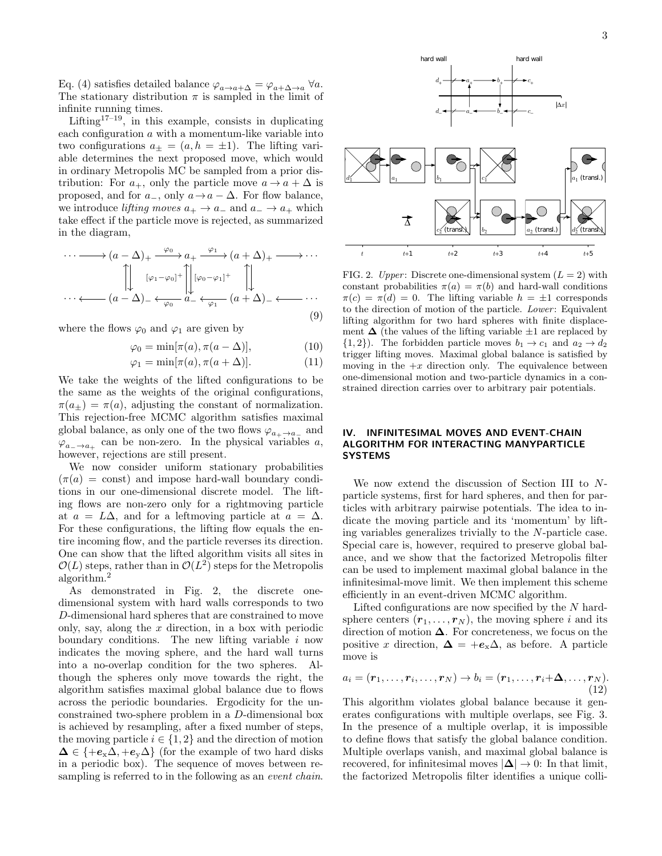Eq. (4) satisfies detailed balance  $\varphi_{a\to a+\Delta} = \varphi_{a+\Delta\to a} \,\forall a$ . The stationary distribution  $\pi$  is sampled in the limit of infinite running times.

Lifting<sup>17–19</sup>, in this example, consists in duplicating each configuration a with a momentum-like variable into two configurations  $a_{\pm} = (a, h = \pm 1)$ . The lifting variable determines the next proposed move, which would in ordinary Metropolis MC be sampled from a prior distribution: For  $a_+$ , only the particle move  $a \to a + \Delta$  is proposed, and for  $a_-,$  only  $a \to a - \Delta$ . For flow balance, we introduce *lifting moves*  $a_+ \rightarrow a_-$  and  $a_- \rightarrow a_+$  which take effect if the particle move is rejected, as summarized in the diagram,

$$
\cdots \longrightarrow (a - \Delta)_{+} \xrightarrow{\varphi_{0}} a_{+} \xrightarrow{\varphi_{1}} (a + \Delta)_{+} \longrightarrow \cdots
$$

$$
\left[\downarrow \qquad [\varphi_{1} - \varphi_{0}]^{+} \right] \left[\downarrow \varphi_{0} - \varphi_{1}]^{+} \left[\downarrow \qquad \qquad [\downarrow \qquad \qquad [\downarrow \qquad \qquad \cdots \longleftarrow (a - \Delta)_{-} \longleftrightarrow \varphi_{0} \xrightarrow{a_{-}} (a + \Delta)_{-} \longleftrightarrow \cdots \right]
$$

$$
\cdots \longleftarrow (a - \Delta)_{-} \longleftrightarrow \varphi_{0} \xrightarrow{a_{-}} (\varphi_{1} - (\Delta)_{-}) \longleftrightarrow \cdots \tag{9}
$$

where the flows  $\varphi_0$  and  $\varphi_1$  are given by

$$
\varphi_0 = \min[\pi(a), \pi(a - \Delta)], \tag{10}
$$

$$
\varphi_1 = \min[\pi(a), \pi(a+\Delta)]. \tag{11}
$$

We take the weights of the lifted configurations to be the same as the weights of the original configurations,  $\pi(a_{\pm}) = \pi(a)$ , adjusting the constant of normalization. This rejection-free MCMC algorithm satisfies maximal global balance, as only one of the two flows  $\varphi_{a_+ \to a_-}$  and  $\varphi_{a_-\to a_+}$  can be non-zero. In the physical variables a, however, rejections are still present.

We now consider uniform stationary probabilities  $(\pi(a) = \text{const})$  and impose hard-wall boundary conditions in our one-dimensional discrete model. The lifting flows are non-zero only for a rightmoving particle at  $a = L\Delta$ , and for a leftmoving particle at  $a = \Delta$ . For these configurations, the lifting flow equals the entire incoming flow, and the particle reverses its direction. One can show that the lifted algorithm visits all sites in  $\mathcal{O}(L)$  steps, rather than in  $\mathcal{O}(L^2)$  steps for the Metropolis algorithm.<sup>2</sup>

As demonstrated in Fig. 2, the discrete onedimensional system with hard walls corresponds to two D-dimensional hard spheres that are constrained to move only, say, along the  $x$  direction, in a box with periodic boundary conditions. The new lifting variable  $i$  now indicates the moving sphere, and the hard wall turns into a no-overlap condition for the two spheres. Although the spheres only move towards the right, the algorithm satisfies maximal global balance due to flows across the periodic boundaries. Ergodicity for the unconstrained two-sphere problem in a D-dimensional box is achieved by resampling, after a fixed number of steps, the moving particle  $i \in \{1,2\}$  and the direction of motion  $\Delta \in \{+e_{x}\Delta, +e_{y}\Delta\}$  (for the example of two hard disks in a periodic box). The sequence of moves between resampling is referred to in the following as an *event chain*.



FIG. 2. Upper: Discrete one-dimensional system  $(L = 2)$  with constant probabilities  $\pi(a) = \pi(b)$  and hard-wall conditions  $\pi(c) = \pi(d) = 0$ . The lifting variable  $h = \pm 1$  corresponds to the direction of motion of the particle. Lower: Equivalent lifting algorithm for two hard spheres with finite displacement  $\Delta$  (the values of the lifting variable  $\pm 1$  are replaced by  $\{1, 2\}$ ). The forbidden particle moves  $b_1 \rightarrow c_1$  and  $a_2 \rightarrow d_2$ trigger lifting moves. Maximal global balance is satisfied by moving in the  $+x$  direction only. The equivalence between one-dimensional motion and two-particle dynamics in a constrained direction carries over to arbitrary pair potentials.

# IV. INFINITESIMAL MOVES AND EVENT-CHAIN ALGORITHM FOR INTERACTING MANYPARTICLE SYSTEMS

We now extend the discussion of Section III to Nparticle systems, first for hard spheres, and then for particles with arbitrary pairwise potentials. The idea to indicate the moving particle and its 'momentum' by lifting variables generalizes trivially to the N-particle case. Special care is, however, required to preserve global balance, and we show that the factorized Metropolis filter can be used to implement maximal global balance in the infinitesimal-move limit. We then implement this scheme efficiently in an event-driven MCMC algorithm.

Lifted configurations are now specified by the N hardsphere centers  $(r_1, \ldots, r_N)$ , the moving sphere i and its direction of motion  $\Delta$ . For concreteness, we focus on the positive x direction,  $\Delta = +e_{x}\Delta$ , as before. A particle move is

$$
a_i = (\boldsymbol{r}_1, \ldots, \boldsymbol{r}_i, \ldots, \boldsymbol{r}_N) \rightarrow b_i = (\boldsymbol{r}_1, \ldots, \boldsymbol{r}_i + \boldsymbol{\Delta}, \ldots, \boldsymbol{r}_N).
$$
\n(12)

This algorithm violates global balance because it generates configurations with multiple overlaps, see Fig. 3. In the presence of a multiple overlap, it is impossible to define flows that satisfy the global balance condition. Multiple overlaps vanish, and maximal global balance is recovered, for infinitesimal moves  $|\Delta| \to 0$ : In that limit, the factorized Metropolis filter identifies a unique colli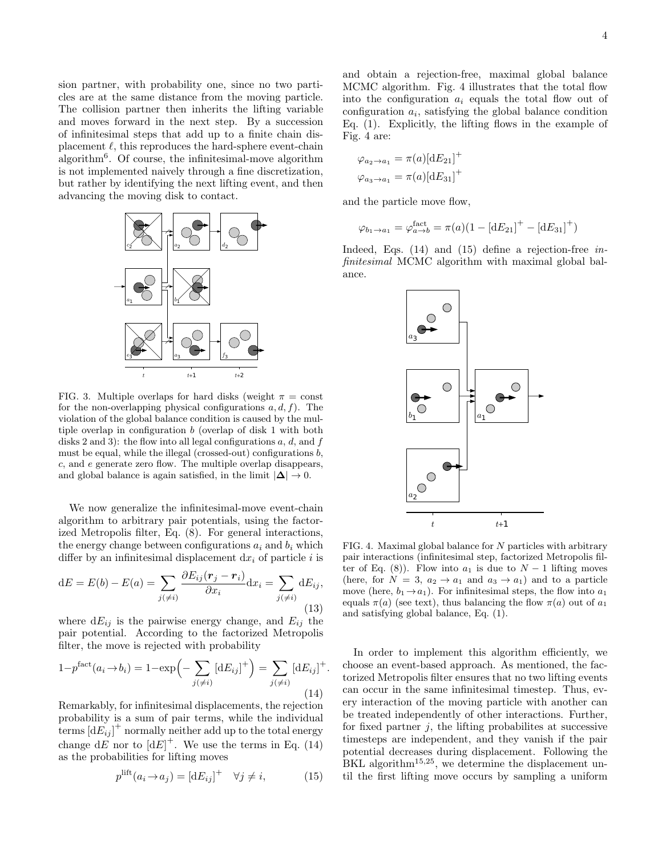sion partner, with probability one, since no two particles are at the same distance from the moving particle. The collision partner then inherits the lifting variable and moves forward in the next step. By a succession of infinitesimal steps that add up to a finite chain displacement  $\ell$ , this reproduces the hard-sphere event-chain algorithm<sup>6</sup> . Of course, the infinitesimal-move algorithm is not implemented naively through a fine discretization, but rather by identifying the next lifting event, and then advancing the moving disk to contact.



FIG. 3. Multiple overlaps for hard disks (weight  $\pi = \text{const}$ for the non-overlapping physical configurations  $a, d, f$ ). The violation of the global balance condition is caused by the multiple overlap in configuration b (overlap of disk 1 with both disks 2 and 3): the flow into all legal configurations  $a, d$ , and  $f$ must be equal, while the illegal (crossed-out) configurations  $b$ , c, and e generate zero flow. The multiple overlap disappears, and global balance is again satisfied, in the limit  $|\Delta| \to 0$ .

We now generalize the infinitesimal-move event-chain algorithm to arbitrary pair potentials, using the factorized Metropolis filter, Eq. (8). For general interactions, the energy change between configurations  $a_i$  and  $b_i$  which differ by an infinitesimal displacement  $dx_i$  of particle i is

$$
dE = E(b) - E(a) = \sum_{j(\neq i)} \frac{\partial E_{ij}(\mathbf{r}_j - \mathbf{r}_i)}{\partial x_i} dx_i = \sum_{j(\neq i)} dE_{ij},
$$
\n(13)

where  $dE_{ij}$  is the pairwise energy change, and  $E_{ij}$  the pair potential. According to the factorized Metropolis filter, the move is rejected with probability

$$
1 - p^{\text{fact}}(a_i \to b_i) = 1 - \exp\left(-\sum_{j(\neq i)} \left[\mathrm{d}E_{ij}\right]^+\right) = \sum_{j(\neq i)} \left[\mathrm{d}E_{ij}\right]^+.
$$
\n(14)

Remarkably, for infinitesimal displacements, the rejection probability is a sum of pair terms, while the individual terms  $[d\tilde{E_{ij}}]^+$  normally neither add up to the total energy change  $dE$  nor to  $\left[dE\right]^{+}$ . We use the terms in Eq. (14) as the probabilities for lifting moves

$$
p^{\text{lift}}(a_i \to a_j) = [dE_{ij}]^+ \quad \forall j \neq i,
$$
\n(15)

and obtain a rejection-free, maximal global balance MCMC algorithm. Fig. 4 illustrates that the total flow into the configuration  $a_i$  equals the total flow out of configuration  $a_i$ , satisfying the global balance condition Eq. (1). Explicitly, the lifting flows in the example of Fig. 4 are:

$$
\varphi_{a_2 \to a_1} = \pi(a) [\mathrm{d}E_{21}]^+
$$
  

$$
\varphi_{a_3 \to a_1} = \pi(a) [\mathrm{d}E_{31}]^+
$$

and the particle move flow,

$$
\varphi_{b_1 \to a_1} = \varphi_{a \to b}^{\text{fact}} = \pi(a)(1 - [dE_{21}]^+ - [dE_{31}]^+)
$$

Indeed, Eqs. (14) and (15) define a rejection-free infinitesimal MCMC algorithm with maximal global balance.



FIG. 4. Maximal global balance for N particles with arbitrary pair interactions (infinitesimal step, factorized Metropolis filter of Eq. (8)). Flow into  $a_1$  is due to  $N-1$  lifting moves (here, for  $N = 3$ ,  $a_2 \rightarrow a_1$  and  $a_3 \rightarrow a_1$ ) and to a particle move (here,  $b_1 \rightarrow a_1$ ). For infinitesimal steps, the flow into  $a_1$ equals  $\pi(a)$  (see text), thus balancing the flow  $\pi(a)$  out of  $a_1$ and satisfying global balance, Eq. (1).

In order to implement this algorithm efficiently, we choose an event-based approach. As mentioned, the factorized Metropolis filter ensures that no two lifting events can occur in the same infinitesimal timestep. Thus, every interaction of the moving particle with another can be treated independently of other interactions. Further, for fixed partner  $i$ , the lifting probabilites at successive timesteps are independent, and they vanish if the pair potential decreases during displacement. Following the BKL algorithm<sup>15,25</sup>, we determine the displacement until the first lifting move occurs by sampling a uniform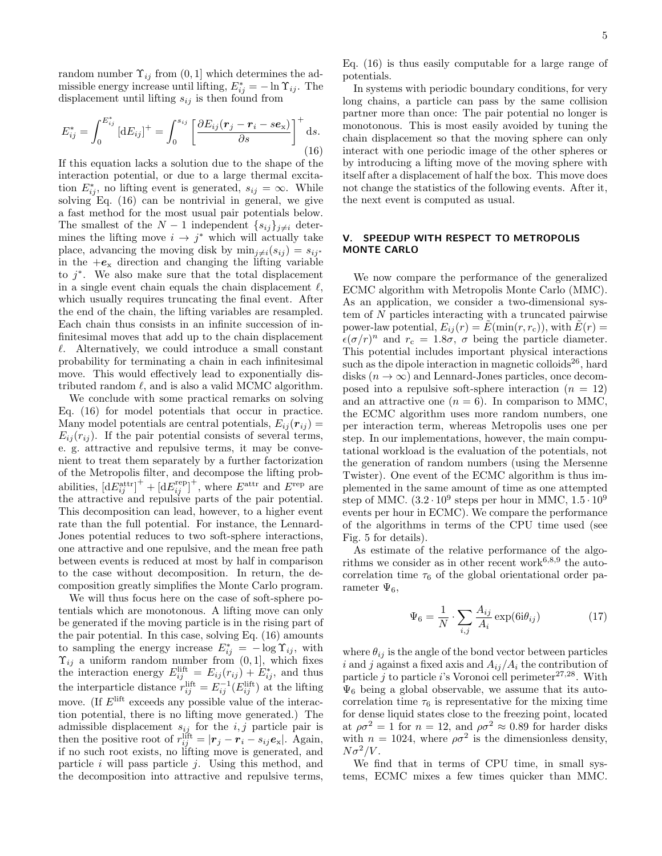random number  $\Upsilon_{ij}$  from  $(0, 1]$  which determines the admissible energy increase until lifting,  $E_{ij}^* = -\ln \Upsilon_{ij}$ . The displacement until lifting  $s_{ij}$  is then found from

$$
E_{ij}^* = \int_0^{E_{ij}^*} \left[ \mathrm{d}E_{ij} \right]^+ = \int_0^{s_{ij}} \left[ \frac{\partial E_{ij}(\mathbf{r}_j - \mathbf{r}_i - s\mathbf{e}_x)}{\partial s} \right]^+ \mathrm{d}s. \tag{16}
$$

If this equation lacks a solution due to the shape of the interaction potential, or due to a large thermal excitation  $E_{ij}^*$ , no lifting event is generated,  $s_{ij} = \infty$ . While solving Eq. (16) can be nontrivial in general, we give a fast method for the most usual pair potentials below. The smallest of the  $N-1$  independent  $\{s_{ij}\}_{j\neq i}$  determines the lifting move  $i \to j^*$  which will actually take place, advancing the moving disk by  $\min_{j\neq i}(s_{ij}) = s_{ij} *$ in the  $+e_x$  direction and changing the lifting variable to  $j^*$ . We also make sure that the total displacement in a single event chain equals the chain displacement  $\ell$ , which usually requires truncating the final event. After the end of the chain, the lifting variables are resampled. Each chain thus consists in an infinite succession of infinitesimal moves that add up to the chain displacement  $\ell$ . Alternatively, we could introduce a small constant probability for terminating a chain in each infinitesimal move. This would effectively lead to exponentially distributed random  $\ell$ , and is also a valid MCMC algorithm.

We conclude with some practical remarks on solving Eq. (16) for model potentials that occur in practice. Many model potentials are central potentials,  $E_{ij}(\mathbf{r}_{ij}) =$  $E_{ij}(r_{ij})$ . If the pair potential consists of several terms, e. g. attractive and repulsive terms, it may be convenient to treat them separately by a further factorization of the Metropolis filter, and decompose the lifting probabilities,  $[dE_{ij}^{\text{attr}}]^+ + [dE_{ij}^{\text{rep}}]^+,$  where  $E^{\text{attr}}$  and  $E^{\text{rep}}$  are the attractive and repulsive parts of the pair potential. This decomposition can lead, however, to a higher event rate than the full potential. For instance, the Lennard-Jones potential reduces to two soft-sphere interactions, one attractive and one repulsive, and the mean free path between events is reduced at most by half in comparison to the case without decomposition. In return, the decomposition greatly simplifies the Monte Carlo program.

We will thus focus here on the case of soft-sphere potentials which are monotonous. A lifting move can only be generated if the moving particle is in the rising part of the pair potential. In this case, solving Eq. (16) amounts to sampling the energy increase  $E_{ij}^* = -\log \Upsilon_{ij}$ , with  $\Upsilon_{ij}$  a uniform random number from  $(0, 1]$ , which fixes the interaction energy  $E_{ij}^{\text{lift}} = E_{ij}(r_{ij}) + E_{ij}^*$ , and thus the interparticle distance  $r_{ij}^{\text{lift}} = E_{ij}^{-1}(E_{ij}^{\text{lift}})$  at the lifting move. (If  $E^{\text{lift}}$  exceeds any possible value of the interaction potential, there is no lifting move generated.) The admissible displacement  $s_{ij}$  for the  $i, j$  particle pair is then the positive root of  $r_{ij}^{\text{lift}} = |\mathbf{r}_j - \mathbf{r}_i - s_{ij}\mathbf{e}_{\mathbf{x}}|$ . Again, if no such root exists, no lifting move is generated, and particle i will pass particle j. Using this method, and the decomposition into attractive and repulsive terms,

Eq. (16) is thus easily computable for a large range of potentials.

In systems with periodic boundary conditions, for very long chains, a particle can pass by the same collision partner more than once: The pair potential no longer is monotonous. This is most easily avoided by tuning the chain displacement so that the moving sphere can only interact with one periodic image of the other spheres or by introducing a lifting move of the moving sphere with itself after a displacement of half the box. This move does not change the statistics of the following events. After it, the next event is computed as usual.

## V. SPEEDUP WITH RESPECT TO METROPOLIS MONTE CARLO

We now compare the performance of the generalized ECMC algorithm with Metropolis Monte Carlo (MMC). As an application, we consider a two-dimensional system of N particles interacting with a truncated pairwise power-law potential,  $E_{ij}(r) = E(\min(r, r_c))$ , with  $E(r) =$  $\epsilon(\sigma/r)^n$  and  $r_c = 1.8\sigma$ ,  $\sigma$  being the particle diameter. This potential includes important physical interactions such as the dipole interaction in magnetic colloids<sup>26</sup>, hard disks  $(n \to \infty)$  and Lennard-Jones particles, once decomposed into a repulsive soft-sphere interaction  $(n = 12)$ and an attractive one  $(n = 6)$ . In comparison to MMC, the ECMC algorithm uses more random numbers, one per interaction term, whereas Metropolis uses one per step. In our implementations, however, the main computational workload is the evaluation of the potentials, not the generation of random numbers (using the Mersenne Twister). One event of the ECMC algorithm is thus implemented in the same amount of time as one attempted step of MMC.  $(3.2 \cdot 10^9 \text{ steps per hour in MMC}, 1.5 \cdot 10^9 \text{ s}$ events per hour in ECMC). We compare the performance of the algorithms in terms of the CPU time used (see Fig. 5 for details).

As estimate of the relative performance of the algorithms we consider as in other recent work $6,8,9$  the autocorrelation time  $\tau_6$  of the global orientational order parameter  $\Psi_6$ ,

$$
\Psi_6 = \frac{1}{N} \cdot \sum_{i,j} \frac{A_{ij}}{A_i} \exp(6\mathbf{i}\theta_{ij})
$$
\n(17)

where  $\theta_{ij}$  is the angle of the bond vector between particles i and j against a fixed axis and  $A_{ij}/A_i$  the contribution of particle j to particle i's Voronoi cell perimeter<sup>27,28</sup>. With  $\Psi_6$  being a global observable, we assume that its autocorrelation time  $\tau_6$  is representative for the mixing time for dense liquid states close to the freezing point, located at  $\rho \sigma^2 = 1$  for  $n = 12$ , and  $\rho \sigma^2 \approx 0.89$  for harder disks with  $n = 1024$ , where  $\rho \sigma^2$  is the dimensionless density,  $N\sigma^2/V$ .

We find that in terms of CPU time, in small systems, ECMC mixes a few times quicker than MMC.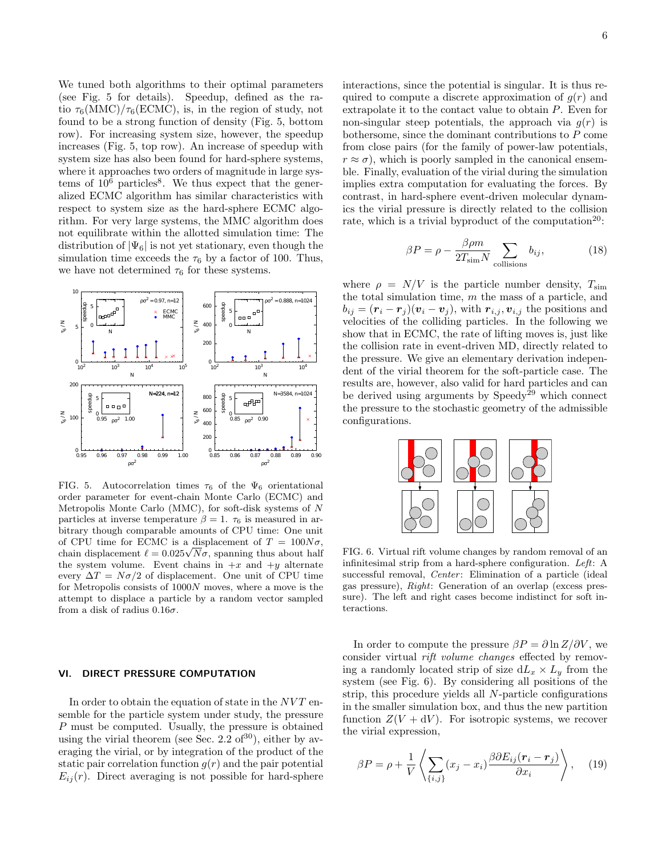We tuned both algorithms to their optimal parameters (see Fig. 5 for details). Speedup, defined as the ratio  $\tau_6(MMC)/\tau_6(ECMC)$ , is, in the region of study, not found to be a strong function of density (Fig. 5, bottom row). For increasing system size, however, the speedup increases (Fig. 5, top row). An increase of speedup with system size has also been found for hard-sphere systems, where it approaches two orders of magnitude in large systems of  $10^6$  particles<sup>8</sup>. We thus expect that the generalized ECMC algorithm has similar characteristics with respect to system size as the hard-sphere ECMC algorithm. For very large systems, the MMC algorithm does not equilibrate within the allotted simulation time: The distribution of  $|\Psi_6|$  is not yet stationary, even though the simulation time exceeds the  $\tau_6$  by a factor of 100. Thus, we have not determined  $\tau_6$  for these systems.



FIG. 5. Autocorrelation times  $\tau_6$  of the  $\Psi_6$  orientational order parameter for event-chain Monte Carlo (ECMC) and Metropolis Monte Carlo (MMC), for soft-disk systems of N particles at inverse temperature  $\beta = 1$ .  $\tau_6$  is measured in arbitrary though comparable amounts of CPU time: One unit of CPU time for ECMC is a displacement of  $T = 100N\sigma$ , of CPU time for ECMC is a displacement of  $T = 100N\sigma$ ,<br>chain displacement  $\ell = 0.025\sqrt{N}\sigma$ , spanning thus about half the system volume. Event chains in  $+x$  and  $+y$  alternate every  $\Delta T = N\sigma/2$  of displacement. One unit of CPU time for Metropolis consists of 1000N moves, where a move is the attempt to displace a particle by a random vector sampled from a disk of radius  $0.16\sigma$ .

## VI. DIRECT PRESSURE COMPUTATION

In order to obtain the equation of state in the  $NVT$  ensemble for the particle system under study, the pressure P must be computed. Usually, the pressure is obtained using the virial theorem (see Sec. 2.2 of  $30$ ), either by averaging the virial, or by integration of the product of the static pair correlation function  $q(r)$  and the pair potential  $E_{ij}(r)$ . Direct averaging is not possible for hard-sphere

interactions, since the potential is singular. It is thus required to compute a discrete approximation of  $g(r)$  and extrapolate it to the contact value to obtain P. Even for non-singular steep potentials, the approach via  $q(r)$  is bothersome, since the dominant contributions to P come from close pairs (for the family of power-law potentials,  $r \approx \sigma$ , which is poorly sampled in the canonical ensemble. Finally, evaluation of the virial during the simulation implies extra computation for evaluating the forces. By contrast, in hard-sphere event-driven molecular dynamics the virial pressure is directly related to the collision rate, which is a trivial byproduct of the computation<sup>20</sup>:

$$
\beta P = \rho - \frac{\beta \rho m}{2T_{\text{sim}} N} \sum_{\text{collisions}} b_{ij},\tag{18}
$$

where  $\rho = N/V$  is the particle number density,  $T_{\text{sim}}$ the total simulation time,  $m$  the mass of a particle, and  $b_{ij} = (\mathbf{r}_i - \mathbf{r}_j)(\mathbf{v}_i - \mathbf{v}_j)$ , with  $\mathbf{r}_{i,j}, \mathbf{v}_{i,j}$  the positions and velocities of the colliding particles. In the following we show that in ECMC, the rate of lifting moves is, just like the collision rate in event-driven MD, directly related to the pressure. We give an elementary derivation independent of the virial theorem for the soft-particle case. The results are, however, also valid for hard particles and can be derived using arguments by  $\text{Speedy}^{29}$  which connect the pressure to the stochastic geometry of the admissible configurations.



FIG. 6. Virtual rift volume changes by random removal of an infinitesimal strip from a hard-sphere configuration. Left: A successful removal, *Center*: Elimination of a particle (ideal gas pressure), Right: Generation of an overlap (excess pressure). The left and right cases become indistinct for soft interactions.

In order to compute the pressure  $\beta P = \partial \ln Z / \partial V$ , we consider virtual rift volume changes effected by removing a randomly located strip of size  $dL_x \times L_y$  from the system (see Fig. 6). By considering all positions of the strip, this procedure yields all N-particle configurations in the smaller simulation box, and thus the new partition function  $Z(V + dV)$ . For isotropic systems, we recover the virial expression,

$$
\beta P = \rho + \frac{1}{V} \left\langle \sum_{\{i,j\}} (x_j - x_i) \frac{\beta \partial E_{ij} (\mathbf{r}_i - \mathbf{r}_j)}{\partial x_i} \right\rangle, \quad (19)
$$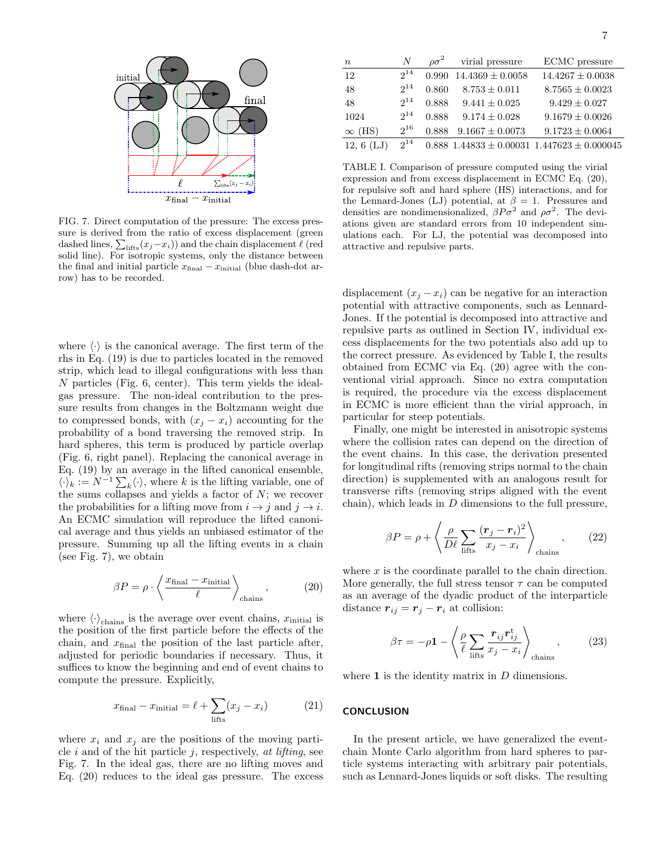

FIG. 7. Direct computation of the pressure: The excess pressure is derived from the ratio of excess displacement (green dashed lines,  $\sum_{\text{lifts}}(x_j-x_i)$ ) and the chain displacement  $\ell$  (red solid line). For isotropic systems, only the distance between the final and initial particle  $x_{\text{final}} - x_{\text{initial}}$  (blue dash-dot arrow) has to be recorded.

where  $\langle \cdot \rangle$  is the canonical average. The first term of the rhs in Eq. (19) is due to particles located in the removed strip, which lead to illegal configurations with less than N particles (Fig. 6, center). This term yields the idealgas pressure. The non-ideal contribution to the pressure results from changes in the Boltzmann weight due to compressed bonds, with  $(x_j - x_i)$  accounting for the probability of a bond traversing the removed strip. In hard spheres, this term is produced by particle overlap (Fig. 6, right panel). Replacing the canonical average in Eq. (19) by an average in the lifted canonical ensemble,  $\langle \cdot \rangle_k := N^{-1} \sum_k \langle \cdot \rangle$ , where k is the lifting variable, one of the sums collapses and yields a factor of  $N$ ; we recover the probabilities for a lifting move from  $i \rightarrow j$  and  $j \rightarrow i$ . An ECMC simulation will reproduce the lifted canonical average and thus yields an unbiased estimator of the pressure. Summing up all the lifting events in a chain (see Fig. 7), we obtain

$$
\beta P = \rho \cdot \left\langle \frac{x_{\text{final}} - x_{\text{initial}}}{\ell} \right\rangle_{\text{chains}},\tag{20}
$$

where  $\langle \cdot \rangle_{\text{chains}}$  is the average over event chains,  $x_{\text{initial}}$  is the position of the first particle before the effects of the chain, and  $x_{final}$  the position of the last particle after, adjusted for periodic boundaries if necessary. Thus, it suffices to know the beginning and end of event chains to compute the pressure. Explicitly,

$$
x_{\text{final}} - x_{\text{initial}} = \ell + \sum_{\text{lifts}} (x_j - x_i) \tag{21}
$$

where  $x_i$  and  $x_j$  are the positions of the moving particle  $i$  and of the hit particle  $j$ , respectively, at lifting, see Fig. 7. In the ideal gas, there are no lifting moves and Eq. (20) reduces to the ideal gas pressure. The excess

| $\overline{n}$ | Ν        | $\rho \sigma^2$ | virial pressure      | ECMC pressure                                         |
|----------------|----------|-----------------|----------------------|-------------------------------------------------------|
| 12             | $2^{14}$ | 0.990           | $14.4369 \pm 0.0058$ | $14.4267 \pm 0.0038$                                  |
| 48             | $2^{14}$ | 0.860           | $8.753 \pm 0.011$    | $8.7565 \pm 0.0023$                                   |
| 48             | $2^{14}$ | 0.888           | $9.441 \pm 0.025$    | $9.429 \pm 0.027$                                     |
| 1024           | $2^{14}$ | 0.888           | $9.174 \pm 0.028$    | $9.1679 \pm 0.0026$                                   |
| $\infty$ (HS)  | $2^{16}$ | 0.888           | $9.1667 \pm 0.0073$  | $9.1723 \pm 0.0064$                                   |
| 12, 6(LJ)      | $2^{14}$ |                 |                      | $0.888$ $1.44833 \pm 0.00031$ $1.447623 \pm 0.000045$ |

TABLE I. Comparison of pressure computed using the virial expression and from excess displacement in ECMC Eq. (20), for repulsive soft and hard sphere (HS) interactions, and for the Lennard-Jones (LJ) potential, at  $\beta = 1$ . Pressures and densities are nondimensionalized,  $\beta P \sigma^2$  and  $\rho \sigma^2$ . The deviations given are standard errors from 10 independent simulations each. For LJ, the potential was decomposed into attractive and repulsive parts.

displacement  $(x_i - x_i)$  can be negative for an interaction potential with attractive components, such as Lennard-Jones. If the potential is decomposed into attractive and repulsive parts as outlined in Section IV, individual excess displacements for the two potentials also add up to the correct pressure. As evidenced by Table I, the results obtained from ECMC via Eq. (20) agree with the conventional virial approach. Since no extra computation is required, the procedure via the excess displacement in ECMC is more efficient than the virial approach, in particular for steep potentials.

Finally, one might be interested in anisotropic systems where the collision rates can depend on the direction of the event chains. In this case, the derivation presented for longitudinal rifts (removing strips normal to the chain direction) is supplemented with an analogous result for transverse rifts (removing strips aligned with the event chain), which leads in  $D$  dimensions to the full pressure,

$$
\beta P = \rho + \left\langle \frac{\rho}{D\ell} \sum_{\text{lifts}} \frac{(\mathbf{r}_j - \mathbf{r}_i)^2}{x_j - x_i} \right\rangle_{\text{chains}},\qquad(22)
$$

where  $x$  is the coordinate parallel to the chain direction. More generally, the full stress tensor  $\tau$  can be computed as an average of the dyadic product of the interparticle distance  $r_{ij} = r_j - r_i$  at collision:

$$
\beta \tau = -\rho \mathbf{1} - \left\langle \frac{\rho}{\ell} \sum_{\text{lifts}} \frac{\boldsymbol{r}_{ij} \boldsymbol{r}_{ij}^{\text{t}}}{x_j - x_i} \right\rangle_{\text{chains}},\tag{23}
$$

where  $\bf{1}$  is the identity matrix in  $D$  dimensions.

## **CONCLUSION**

In the present article, we have generalized the eventchain Monte Carlo algorithm from hard spheres to particle systems interacting with arbitrary pair potentials, such as Lennard-Jones liquids or soft disks. The resulting